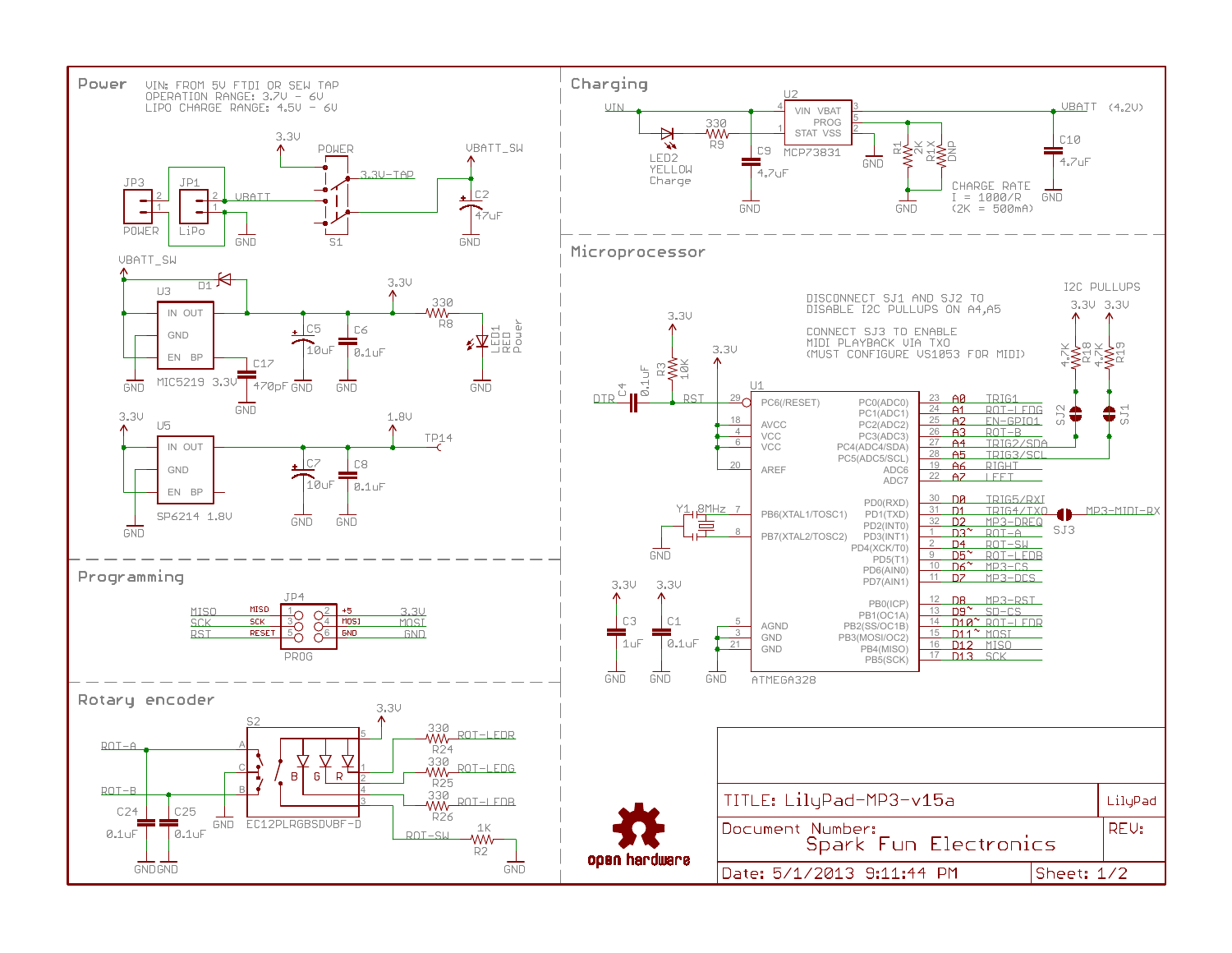